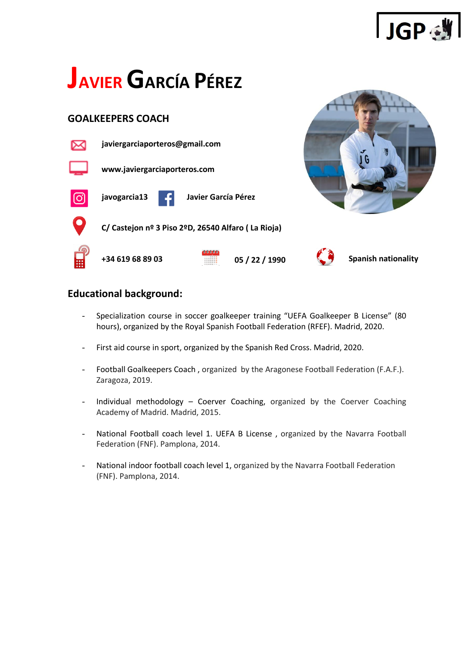

# **JAVIERGARCÍA PÉREZ**

## **GOALKEEPERS COACH**



 **C/ Castejon nº 3 Piso 2ºD, 26540 Alfaro ( La Rioja)**



**+34 619 68 89 03 05 / 22 / 1990 Spanish nationality**

## **Educational background:**

- Specialization course in soccer goalkeeper training "UEFA Goalkeeper B License" (80 hours), organized by the Royal Spanish Football Federation (RFEF). Madrid, 2020.
- First aid course in sport, organized by the Spanish Red Cross. Madrid, 2020.
- Football Goalkeepers Coach , organized by the Aragonese Football Federation (F.A.F.). Zaragoza, 2019.
- Individual methodology Coerver Coaching, organized by the Coerver Coaching Academy of Madrid. Madrid, 2015.
- National Football coach level 1. UEFA B License, organized by the Navarra Football Federation (FNF). Pamplona, 2014.
- National indoor football coach level 1, organized by the Navarra Football Federation (FNF). Pamplona, 2014.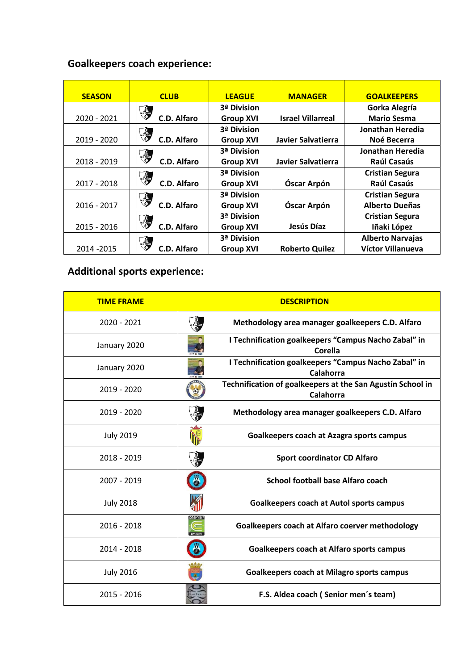# **Goalkeepers coach experience:**

| <b>SEASON</b> | <b>CLUB</b>                                                                                                 | <b>LEAGUE</b>    | <b>MANAGER</b>           | <b>GOALKEEPERS</b>      |
|---------------|-------------------------------------------------------------------------------------------------------------|------------------|--------------------------|-------------------------|
|               |                                                                                                             | 3ª Division      |                          | Gorka Alegría           |
| 2020 - 2021   | $\left(\begin{array}{c}\n\text{if } x \neq 0 \\ \text{if } x = 0\n\end{array}\right)$<br><b>C.D. Alfaro</b> | <b>Group XVI</b> | <b>Israel Villarreal</b> | <b>Mario Sesma</b>      |
|               |                                                                                                             | 3ª Division      |                          | Jonathan Heredia        |
| 2019 - 2020   | C.D. Alfaro                                                                                                 | <b>Group XVI</b> | Javier Salvatierra       | Noé Becerra             |
|               |                                                                                                             | 3ª Division      |                          | Jonathan Heredia        |
| 2018 - 2019   | C.D. Alfaro                                                                                                 | <b>Group XVI</b> | Javier Salvatierra       | Raúl Casaús             |
|               |                                                                                                             | 3ª Division      |                          | <b>Cristian Segura</b>  |
| 2017 - 2018   | C.D. Alfaro                                                                                                 | <b>Group XVI</b> | Óscar Arpón              | Raúl Casaús             |
|               | CD ALEADO                                                                                                   | 3ª Division      |                          | <b>Cristian Segura</b>  |
| 2016 - 2017   | C.D. Alfaro                                                                                                 | <b>Group XVI</b> | Óscar Arpón              | <b>Alberto Dueñas</b>   |
|               |                                                                                                             | 3ª Division      |                          | <b>Cristian Segura</b>  |
| 2015 - 2016   | <b>C.D. Alfaro</b>                                                                                          | <b>Group XVI</b> | Jesús Díaz               | Iñaki López             |
|               |                                                                                                             | 3ª Division      |                          | <b>Alberto Narvajas</b> |
| 2014 - 2015   | <b>C.D. Alfaro</b>                                                                                          | <b>Group XVI</b> | <b>Roberto Quilez</b>    | Víctor Villanueva       |

# **Additional sports experience:**

| <b>TIME FRAME</b> | <b>DESCRIPTION</b>                                                       |  |  |
|-------------------|--------------------------------------------------------------------------|--|--|
| 2020 - 2021       | Methodology area manager goalkeepers C.D. Alfaro                         |  |  |
| January 2020      | I Technification goalkeepers "Campus Nacho Zabal" in<br>Corella          |  |  |
| January 2020      | I Technification goalkeepers "Campus Nacho Zabal" in<br><b>Calahorra</b> |  |  |
| 2019 - 2020       | Technification of goalkeepers at the San Agustín School in<br>Calahorra  |  |  |
| 2019 - 2020       | Methodology area manager goalkeepers C.D. Alfaro                         |  |  |
| <b>July 2019</b>  | Goalkeepers coach at Azagra sports campus                                |  |  |
| 2018 - 2019       | <b>Sport coordinator CD Alfaro</b>                                       |  |  |
| 2007 - 2019       | <b>School football base Alfaro coach</b>                                 |  |  |
| <b>July 2018</b>  | <b>Goalkeepers coach at Autol sports campus</b>                          |  |  |
| 2016 - 2018       | Goalkeepers coach at Alfaro coerver methodology                          |  |  |
| 2014 - 2018       | ö<br><b>Goalkeepers coach at Alfaro sports campus</b>                    |  |  |
| <b>July 2016</b>  | <b>Goalkeepers coach at Milagro sports campus</b>                        |  |  |
| $2015 - 2016$     | F.S. Aldea coach (Senior men's team)                                     |  |  |